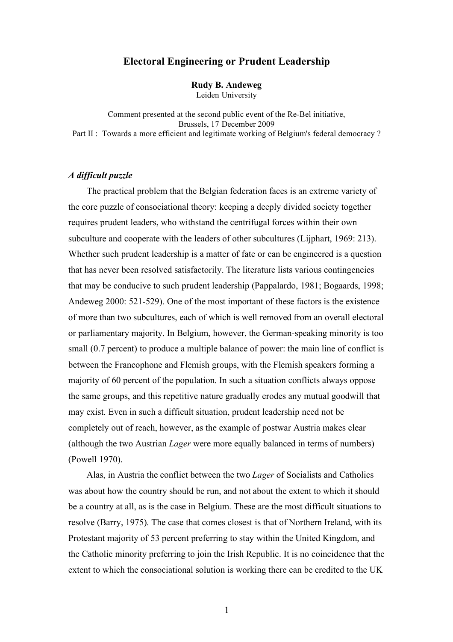# **Electoral Engineering or Prudent Leadership**

**Rudy B. Andeweg** Leiden University

Comment presented at the second public event of the Re-Bel initiative, Brussels, 17 December 2009 Part II : Towards a more efficient and legitimate working of Belgium's federal democracy ?

## *A difficult puzzle*

The practical problem that the Belgian federation faces is an extreme variety of the core puzzle of consociational theory: keeping a deeply divided society together requires prudent leaders, who withstand the centrifugal forces within their own subculture and cooperate with the leaders of other subcultures (Lijphart, 1969: 213). Whether such prudent leadership is a matter of fate or can be engineered is a question that has never been resolved satisfactorily. The literature lists various contingencies that may be conducive to such prudent leadership (Pappalardo, 1981; Bogaards, 1998; Andeweg 2000: 521-529). One of the most important of these factors is the existence of more than two subcultures, each of which is well removed from an overall electoral or parliamentary majority. In Belgium, however, the German-speaking minority is too small (0.7 percent) to produce a multiple balance of power: the main line of conflict is between the Francophone and Flemish groups, with the Flemish speakers forming a majority of 60 percent of the population. In such a situation conflicts always oppose the same groups, and this repetitive nature gradually erodes any mutual goodwill that may exist. Even in such a difficult situation, prudent leadership need not be completely out of reach, however, as the example of postwar Austria makes clear (although the two Austrian *Lager* were more equally balanced in terms of numbers) (Powell 1970).

Alas, in Austria the conflict between the two *Lager* of Socialists and Catholics was about how the country should be run, and not about the extent to which it should be a country at all, as is the case in Belgium. These are the most difficult situations to resolve (Barry, 1975). The case that comes closest is that of Northern Ireland, with its Protestant majority of 53 percent preferring to stay within the United Kingdom, and the Catholic minority preferring to join the Irish Republic. It is no coincidence that the extent to which the consociational solution is working there can be credited to the UK

1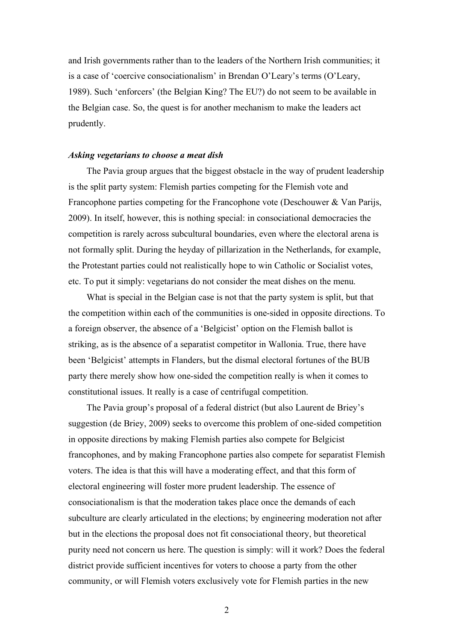and Irish governments rather than to the leaders of the Northern Irish communities; it is a case of 'coercive consociationalism' in Brendan O'Leary's terms (O'Leary, 1989). Such 'enforcers' (the Belgian King? The EU?) do not seem to be available in the Belgian case. So, the quest is for another mechanism to make the leaders act prudently.

### *Asking vegetarians to choose a meat dish*

The Pavia group argues that the biggest obstacle in the way of prudent leadership is the split party system: Flemish parties competing for the Flemish vote and Francophone parties competing for the Francophone vote (Deschouwer & Van Parijs, 2009). In itself, however, this is nothing special: in consociational democracies the competition is rarely across subcultural boundaries, even where the electoral arena is not formally split. During the heyday of pillarization in the Netherlands, for example, the Protestant parties could not realistically hope to win Catholic or Socialist votes, etc. To put it simply: vegetarians do not consider the meat dishes on the menu.

What is special in the Belgian case is not that the party system is split, but that the competition within each of the communities is one-sided in opposite directions. To a foreign observer, the absence of a 'Belgicist' option on the Flemish ballot is striking, as is the absence of a separatist competitor in Wallonia. True, there have been 'Belgicist' attempts in Flanders, but the dismal electoral fortunes of the BUB party there merely show how one-sided the competition really is when it comes to constitutional issues. It really is a case of centrifugal competition.

The Pavia group's proposal of a federal district (but also Laurent de Briey's suggestion (de Briey, 2009) seeks to overcome this problem of one-sided competition in opposite directions by making Flemish parties also compete for Belgicist francophones, and by making Francophone parties also compete for separatist Flemish voters. The idea is that this will have a moderating effect, and that this form of electoral engineering will foster more prudent leadership. The essence of consociationalism is that the moderation takes place once the demands of each subculture are clearly articulated in the elections; by engineering moderation not after but in the elections the proposal does not fit consociational theory, but theoretical purity need not concern us here. The question is simply: will it work? Does the federal district provide sufficient incentives for voters to choose a party from the other community, or will Flemish voters exclusively vote for Flemish parties in the new

2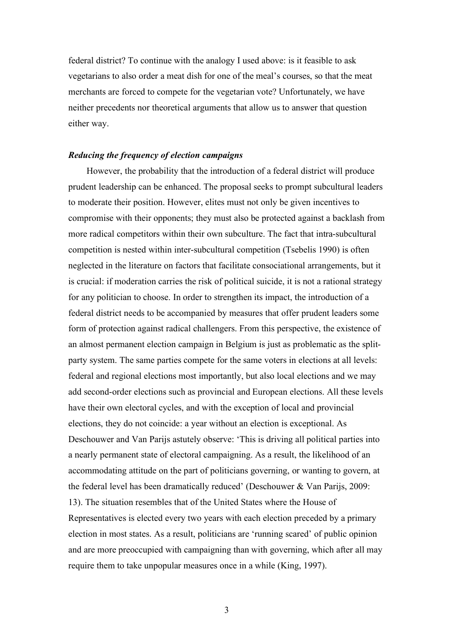federal district? To continue with the analogy I used above: is it feasible to ask vegetarians to also order a meat dish for one of the meal's courses, so that the meat merchants are forced to compete for the vegetarian vote? Unfortunately, we have neither precedents nor theoretical arguments that allow us to answer that question either way.

### *Reducing the frequency of election campaigns*

However, the probability that the introduction of a federal district will produce prudent leadership can be enhanced. The proposal seeks to prompt subcultural leaders to moderate their position. However, elites must not only be given incentives to compromise with their opponents; they must also be protected against a backlash from more radical competitors within their own subculture. The fact that intra-subcultural competition is nested within inter-subcultural competition (Tsebelis 1990) is often neglected in the literature on factors that facilitate consociational arrangements, but it is crucial: if moderation carries the risk of political suicide, it is not a rational strategy for any politician to choose. In order to strengthen its impact, the introduction of a federal district needs to be accompanied by measures that offer prudent leaders some form of protection against radical challengers. From this perspective, the existence of an almost permanent election campaign in Belgium is just as problematic as the splitparty system. The same parties compete for the same voters in elections at all levels: federal and regional elections most importantly, but also local elections and we may add second-order elections such as provincial and European elections. All these levels have their own electoral cycles, and with the exception of local and provincial elections, they do not coincide: a year without an election is exceptional. As Deschouwer and Van Parijs astutely observe: 'This is driving all political parties into a nearly permanent state of electoral campaigning. As a result, the likelihood of an accommodating attitude on the part of politicians governing, or wanting to govern, at the federal level has been dramatically reduced' (Deschouwer & Van Parijs, 2009: 13). The situation resembles that of the United States where the House of Representatives is elected every two years with each election preceded by a primary election in most states. As a result, politicians are 'running scared' of public opinion and are more preoccupied with campaigning than with governing, which after all may require them to take unpopular measures once in a while (King, 1997).

3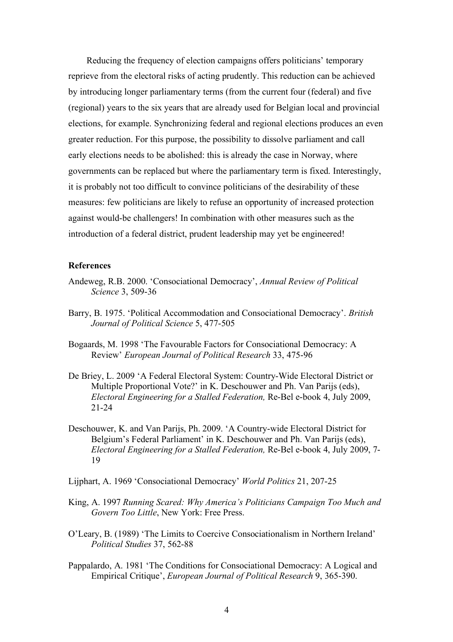Reducing the frequency of election campaigns offers politicians' temporary reprieve from the electoral risks of acting prudently. This reduction can be achieved by introducing longer parliamentary terms (from the current four (federal) and five (regional) years to the six years that are already used for Belgian local and provincial elections, for example. Synchronizing federal and regional elections produces an even greater reduction. For this purpose, the possibility to dissolve parliament and call early elections needs to be abolished: this is already the case in Norway, where governments can be replaced but where the parliamentary term is fixed. Interestingly, it is probably not too difficult to convince politicians of the desirability of these measures: few politicians are likely to refuse an opportunity of increased protection against would-be challengers! In combination with other measures such as the introduction of a federal district, prudent leadership may yet be engineered!

#### **References**

- Andeweg, R.B. 2000. 'Consociational Democracy', *Annual Review of Political Science* 3, 509-36
- Barry, B. 1975. 'Political Accommodation and Consociational Democracy'. *British Journal of Political Science* 5, 477-505
- Bogaards, M. 1998 'The Favourable Factors for Consociational Democracy: A Review' *European Journal of Political Research* 33, 475-96
- De Briey, L. 2009 'A Federal Electoral System: Country-Wide Electoral District or Multiple Proportional Vote?' in K. Deschouwer and Ph. Van Parijs (eds), *Electoral Engineering for a Stalled Federation,* Re-Bel e-book 4, July 2009, 21-24
- Deschouwer, K. and Van Parijs, Ph. 2009. 'A Country-wide Electoral District for Belgium's Federal Parliament' in K. Deschouwer and Ph. Van Parijs (eds), *Electoral Engineering for a Stalled Federation,* Re-Bel e-book 4, July 2009, 7- 19
- Lijphart, A. 1969 'Consociational Democracy' *World Politics* 21, 207-25
- King, A. 1997 *Running Scared: Why America's Politicians Campaign Too Much and Govern Too Little*, New York: Free Press.
- O'Leary, B. (1989) 'The Limits to Coercive Consociationalism in Northern Ireland' *Political Studies* 37, 562-88
- Pappalardo, A. 1981 'The Conditions for Consociational Democracy: A Logical and Empirical Critique', *European Journal of Political Research* 9, 365-390.